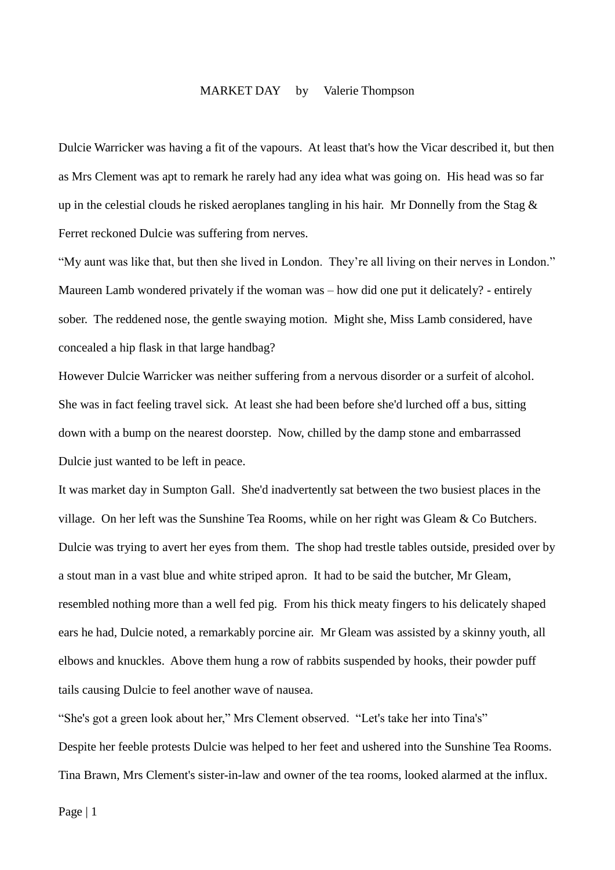## MARKET DAY by Valerie Thompson

Dulcie Warricker was having a fit of the vapours. At least that's how the Vicar described it, but then as Mrs Clement was apt to remark he rarely had any idea what was going on. His head was so far up in the celestial clouds he risked aeroplanes tangling in his hair. Mr Donnelly from the Stag & Ferret reckoned Dulcie was suffering from nerves.

"My aunt was like that, but then she lived in London. They're all living on their nerves in London." Maureen Lamb wondered privately if the woman was – how did one put it delicately? - entirely sober. The reddened nose, the gentle swaying motion. Might she, Miss Lamb considered, have concealed a hip flask in that large handbag?

However Dulcie Warricker was neither suffering from a nervous disorder or a surfeit of alcohol. She was in fact feeling travel sick. At least she had been before she'd lurched off a bus, sitting down with a bump on the nearest doorstep. Now, chilled by the damp stone and embarrassed Dulcie just wanted to be left in peace.

It was market day in Sumpton Gall. She'd inadvertently sat between the two busiest places in the village. On her left was the Sunshine Tea Rooms, while on her right was Gleam & Co Butchers. Dulcie was trying to avert her eyes from them. The shop had trestle tables outside, presided over by a stout man in a vast blue and white striped apron. It had to be said the butcher, Mr Gleam, resembled nothing more than a well fed pig. From his thick meaty fingers to his delicately shaped ears he had, Dulcie noted, a remarkably porcine air. Mr Gleam was assisted by a skinny youth, all elbows and knuckles. Above them hung a row of rabbits suspended by hooks, their powder puff tails causing Dulcie to feel another wave of nausea.

"She's got a green look about her," Mrs Clement observed. "Let's take her into Tina's" Despite her feeble protests Dulcie was helped to her feet and ushered into the Sunshine Tea Rooms. Tina Brawn, Mrs Clement's sister-in-law and owner of the tea rooms, looked alarmed at the influx.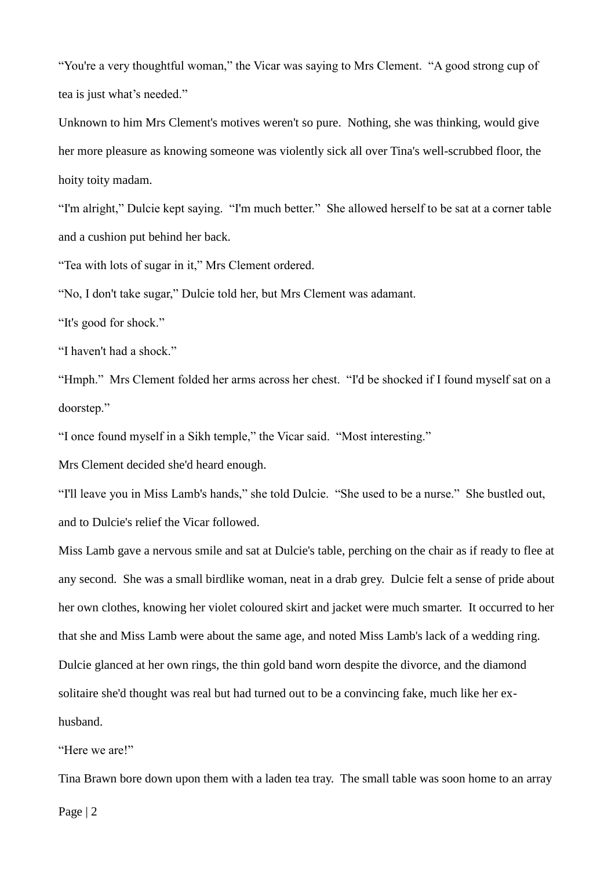"You're a very thoughtful woman," the Vicar was saying to Mrs Clement. "A good strong cup of tea is just what's needed."

Unknown to him Mrs Clement's motives weren't so pure. Nothing, she was thinking, would give her more pleasure as knowing someone was violently sick all over Tina's well-scrubbed floor, the hoity toity madam.

"I'm alright," Dulcie kept saying. "I'm much better." She allowed herself to be sat at a corner table and a cushion put behind her back.

"Tea with lots of sugar in it," Mrs Clement ordered.

"No, I don't take sugar," Dulcie told her, but Mrs Clement was adamant.

"It's good for shock."

"I haven't had a shock."

"Hmph." Mrs Clement folded her arms across her chest. "I'd be shocked if I found myself sat on a doorstep."

"I once found myself in a Sikh temple," the Vicar said. "Most interesting."

Mrs Clement decided she'd heard enough.

"I'll leave you in Miss Lamb's hands," she told Dulcie. "She used to be a nurse." She bustled out, and to Dulcie's relief the Vicar followed.

Miss Lamb gave a nervous smile and sat at Dulcie's table, perching on the chair as if ready to flee at any second. She was a small birdlike woman, neat in a drab grey. Dulcie felt a sense of pride about her own clothes, knowing her violet coloured skirt and jacket were much smarter. It occurred to her that she and Miss Lamb were about the same age, and noted Miss Lamb's lack of a wedding ring. Dulcie glanced at her own rings, the thin gold band worn despite the divorce, and the diamond solitaire she'd thought was real but had turned out to be a convincing fake, much like her exhusband.

"Here we are!"

Tina Brawn bore down upon them with a laden tea tray. The small table was soon home to an array

Page | 2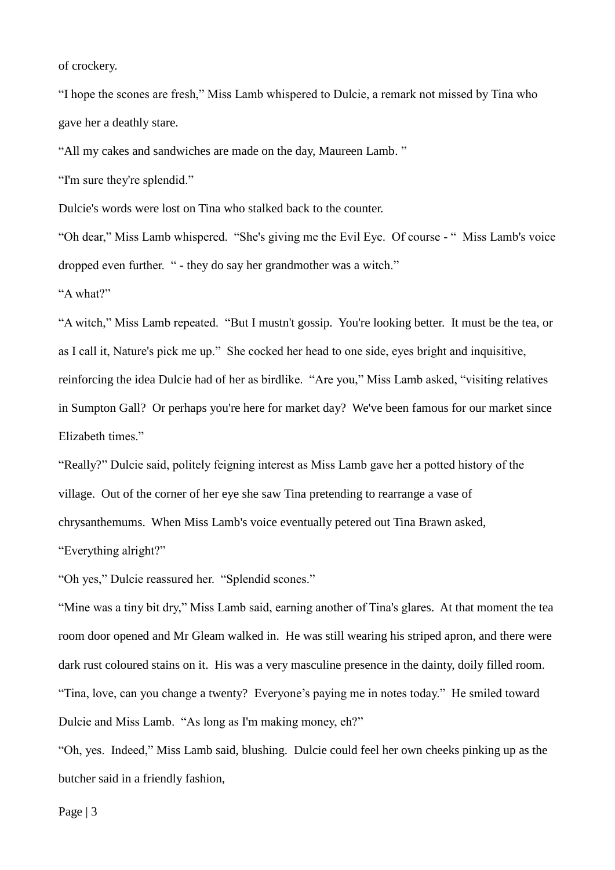of crockery.

"I hope the scones are fresh," Miss Lamb whispered to Dulcie, a remark not missed by Tina who gave her a deathly stare.

"All my cakes and sandwiches are made on the day, Maureen Lamb. "

"I'm sure they're splendid."

Dulcie's words were lost on Tina who stalked back to the counter.

"Oh dear," Miss Lamb whispered. "She's giving me the Evil Eye. Of course - " Miss Lamb's voice dropped even further. " - they do say her grandmother was a witch."

"A what?"

"A witch," Miss Lamb repeated. "But I mustn't gossip. You're looking better. It must be the tea, or as I call it, Nature's pick me up." She cocked her head to one side, eyes bright and inquisitive, reinforcing the idea Dulcie had of her as birdlike. "Are you," Miss Lamb asked, "visiting relatives in Sumpton Gall? Or perhaps you're here for market day? We've been famous for our market since Elizabeth times."

"Really?" Dulcie said, politely feigning interest as Miss Lamb gave her a potted history of the village. Out of the corner of her eye she saw Tina pretending to rearrange a vase of chrysanthemums. When Miss Lamb's voice eventually petered out Tina Brawn asked,

"Everything alright?"

"Oh yes," Dulcie reassured her. "Splendid scones."

"Mine was a tiny bit dry," Miss Lamb said, earning another of Tina's glares. At that moment the tea room door opened and Mr Gleam walked in. He was still wearing his striped apron, and there were dark rust coloured stains on it. His was a very masculine presence in the dainty, doily filled room. "Tina, love, can you change a twenty? Everyone's paying me in notes today." He smiled toward Dulcie and Miss Lamb. "As long as I'm making money, eh?"

"Oh, yes. Indeed," Miss Lamb said, blushing. Dulcie could feel her own cheeks pinking up as the butcher said in a friendly fashion,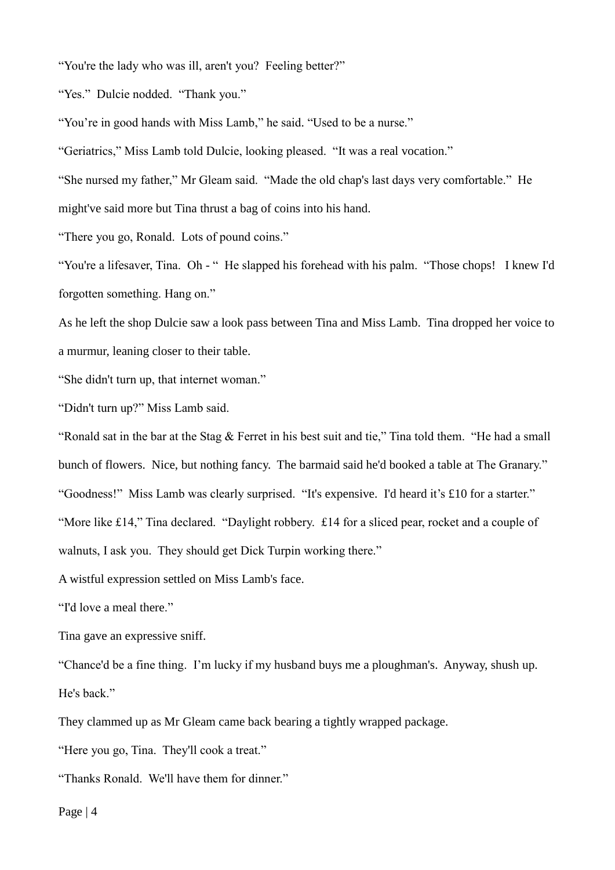"You're the lady who was ill, aren't you? Feeling better?"

"Yes." Dulcie nodded. "Thank you."

"You're in good hands with Miss Lamb," he said. "Used to be a nurse."

"Geriatrics," Miss Lamb told Dulcie, looking pleased. "It was a real vocation."

"She nursed my father," Mr Gleam said. "Made the old chap's last days very comfortable." He

might've said more but Tina thrust a bag of coins into his hand.

"There you go, Ronald. Lots of pound coins."

"You're a lifesaver, Tina. Oh - " He slapped his forehead with his palm. "Those chops! I knew I'd forgotten something. Hang on."

As he left the shop Dulcie saw a look pass between Tina and Miss Lamb. Tina dropped her voice to a murmur, leaning closer to their table.

"She didn't turn up, that internet woman."

"Didn't turn up?" Miss Lamb said.

"Ronald sat in the bar at the Stag & Ferret in his best suit and tie," Tina told them. "He had a small bunch of flowers. Nice, but nothing fancy. The barmaid said he'd booked a table at The Granary." "Goodness!" Miss Lamb was clearly surprised. "It's expensive. I'd heard it's £10 for a starter." "More like £14," Tina declared. "Daylight robbery. £14 for a sliced pear, rocket and a couple of walnuts, I ask you. They should get Dick Turpin working there."

A wistful expression settled on Miss Lamb's face.

"I'd love a meal there."

Tina gave an expressive sniff.

"Chance'd be a fine thing. I'm lucky if my husband buys me a ploughman's. Anyway, shush up. He's back."

They clammed up as Mr Gleam came back bearing a tightly wrapped package.

"Here you go, Tina. They'll cook a treat."

"Thanks Ronald. We'll have them for dinner."

Page | 4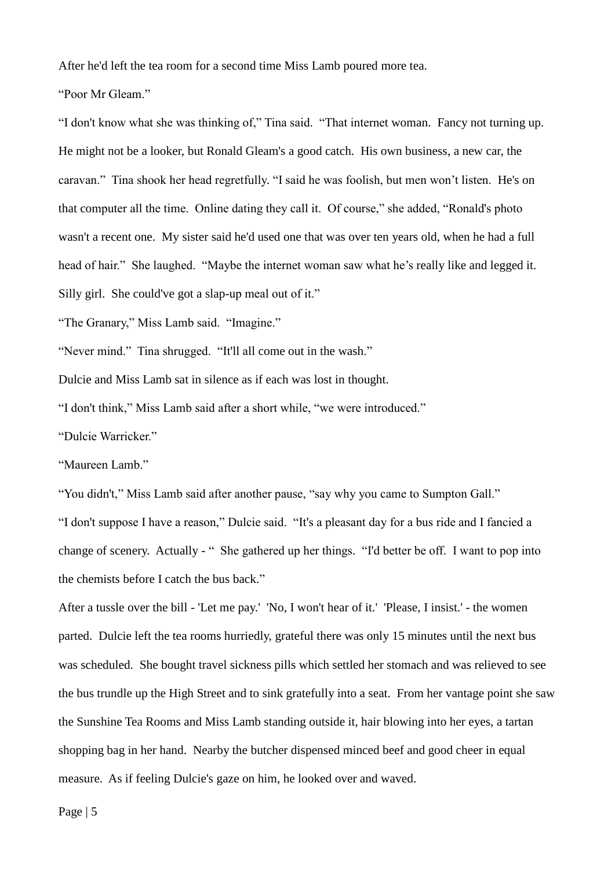After he'd left the tea room for a second time Miss Lamb poured more tea.

"Poor Mr Gleam."

"I don't know what she was thinking of," Tina said. "That internet woman. Fancy not turning up. He might not be a looker, but Ronald Gleam's a good catch. His own business, a new car, the caravan." Tina shook her head regretfully. "I said he was foolish, but men won't listen. He's on that computer all the time. Online dating they call it. Of course," she added, "Ronald's photo wasn't a recent one. My sister said he'd used one that was over ten years old, when he had a full head of hair." She laughed. "Maybe the internet woman saw what he's really like and legged it. Silly girl. She could've got a slap-up meal out of it."

"The Granary," Miss Lamb said. "Imagine."

"Never mind." Tina shrugged. "It'll all come out in the wash."

Dulcie and Miss Lamb sat in silence as if each was lost in thought.

"I don't think," Miss Lamb said after a short while, "we were introduced."

"Dulcie Warricker."

"Maureen Lamb."

"You didn't," Miss Lamb said after another pause, "say why you came to Sumpton Gall." "I don't suppose I have a reason," Dulcie said. "It's a pleasant day for a bus ride and I fancied a change of scenery. Actually - " She gathered up her things. "I'd better be off. I want to pop into the chemists before I catch the bus back."

After a tussle over the bill - 'Let me pay.' 'No, I won't hear of it.' 'Please, I insist.' - the women parted. Dulcie left the tea rooms hurriedly, grateful there was only 15 minutes until the next bus was scheduled. She bought travel sickness pills which settled her stomach and was relieved to see the bus trundle up the High Street and to sink gratefully into a seat. From her vantage point she saw the Sunshine Tea Rooms and Miss Lamb standing outside it, hair blowing into her eyes, a tartan shopping bag in her hand. Nearby the butcher dispensed minced beef and good cheer in equal measure. As if feeling Dulcie's gaze on him, he looked over and waved.

Page | 5